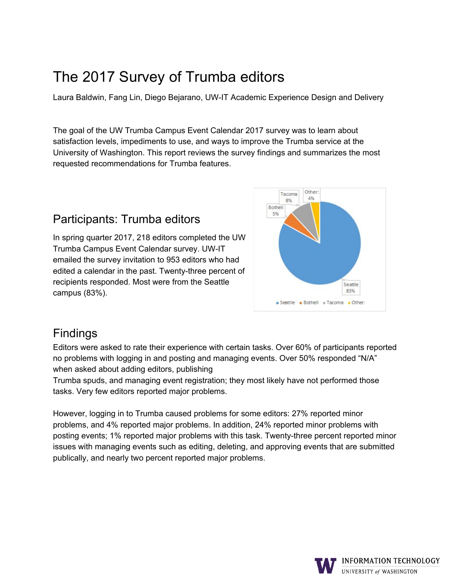# The 2017 Survey of Trumba editors

Laura Baldwin, Fang Lin, Diego Bejarano, UW-IT Academic Experience Design and Delivery

 The goal of the UW Trumba Campus Event Calendar 2017 survey was to learn about satisfaction levels, impediments to use, and ways to improve the Trumba service at the University of Washington. This report reviews the survey findings and summarizes the most requested recommendations for Trumba features.

# Participants: Trumba editors

 In spring quarter 2017, 218 editors completed the UW Trumba Campus Event Calendar survey. UW-IT emailed the survey invitation to 953 editors who had edited a calendar in the past. Twenty-three percent of recipients responded. Most were from the Seattle campus (83%).



# Findings

 Editors were asked to rate their experience with certain tasks. Over 60% of participants reported no problems with logging in and posting and managing events. Over 50% responded "N/A" when asked about adding editors, publishing

 Trumba spuds, and managing event registration; they most likely have not performed those tasks. Very few editors reported major problems.

 However, logging in to Trumba caused problems for some editors: 27% reported minor problems, and 4% reported major problems. In addition, 24% reported minor problems with posting events; 1% reported major problems with this task. Twenty-three percent reported minor issues with managing events such as editing, deleting, and approving events that are submitted publically, and nearly two percent reported major problems.

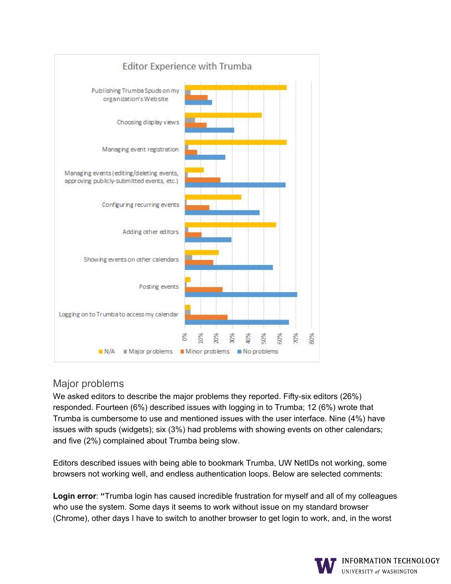

## Major problems

 We asked editors to describe the major problems they reported. Fifty-six editors (26%) responded. Fourteen (6%) described issues with logging in to Trumba; 12 (6%) wrote that Trumba is cumbersome to use and mentioned issues with the user interface. Nine (4%) have issues with spuds (widgets); six (3%) had problems with showing events on other calendars; and five (2%) complained about Trumba being slow.

 Editors described issues with being able to bookmark Trumba, UW NetIDs not working, some browsers not working well, and endless authentication loops. Below are selected comments:

 **Login error**: **"**Trumba login has caused incredible frustration for myself and all of my colleagues who use the system. Some days it seems to work without issue on my standard browser (Chrome), other days I have to switch to another browser to get login to work, and, in the worst

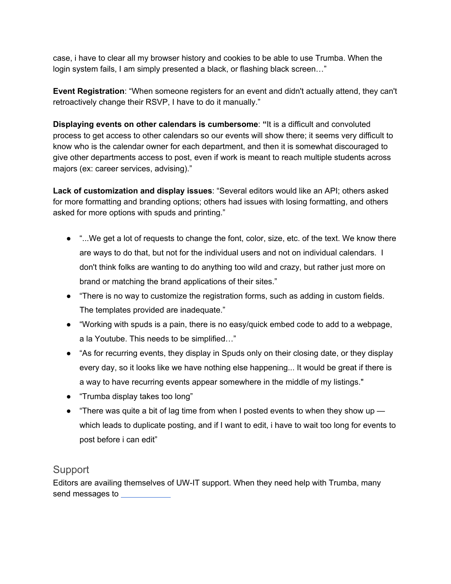case, i have to clear all my browser history and cookies to be able to use Trumba. When the login system fails, I am simply presented a black, or flashing black screen…"

 **Event Registration**: "When someone registers for an event and didn't actually attend, they can't retroactively change their RSVP, I have to do it manually."

 **Displaying events on other calendars is cumbersome**: **"**It is a difficult and convoluted process to get access to other calendars so our events will show there; it seems very difficult to know who is the calendar owner for each department, and then it is somewhat discouraged to give other departments access to post, even if work is meant to reach multiple students across majors (ex: career services, advising)."

 **Lack of customization and display issues**: "Several editors would like an API; others asked for more formatting and branding options; others had issues with losing formatting, and others asked for more options with spuds and printing."

- "...We get a lot of requests to change the font, color, size, etc. of the text. We know there are ways to do that, but not for the individual users and not on individual calendars. I don't think folks are wanting to do anything too wild and crazy, but rather just more on brand or matching the brand applications of their sites."
- "There is no way to customize the registration forms, such as adding in custom fields. The templates provided are inadequate."
- "Working with spuds is a pain, there is no easy/quick embed code to add to a webpage, a la Youtube. This needs to be simplified…"
- ● "As for recurring events, they display in Spuds only on their closing date, or they display every day, so it looks like we have nothing else happening... It would be great if there is a way to have recurring events appear somewhere in the middle of my listings."
- "Trumba display takes too long"
- ● "There was quite a bit of lag time from when I posted events to when they show up which leads to duplicate posting, and if I want to edit, i have to wait too long for events to post before i can edit"

#### **Support**

 Editors are availing themselves of UW-IT support. When they need help with Trumba, many send messages to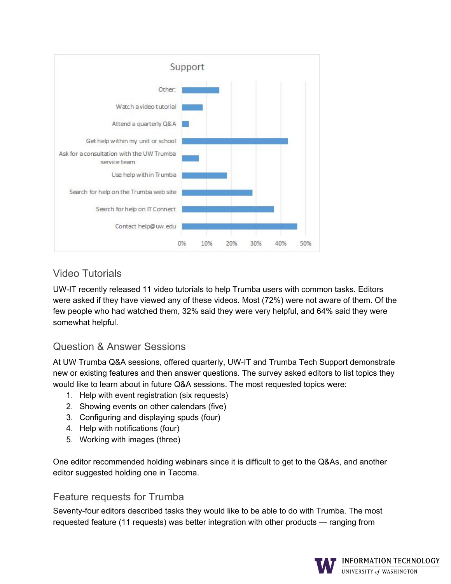

# Video Tutorials

UW-IT recently released 11 video tutorials to help Trumba users with common tasks. Editors were asked if they have viewed any of these videos. Most (72%) were not aware of them. Of the few people who had watched them, 32% said they were very helpful, and 64% said they were somewhat helpful.

# Question & Answer Sessions

At UW Trumba Q&A sessions, offered quarterly, UW-IT and Trumba Tech Support demonstrate new or existing features and then answer questions. The survey asked editors to list topics they would like to learn about in future Q&A sessions. The most requested topics were:

- 1. Help with event registration (six requests)
- 2. Showing events on other calendars (five)
- 3. Configuring and displaying spuds (four)
- 4. Help with notifications (four)
- 5. Working with images (three)

One editor recommended holding webinars since it is difficult to get to the Q&As, and another editor suggested holding one in Tacoma.

#### Feature requests for Trumba

Seventy-four editors described tasks they would like to be able to do with Trumba. The most requested feature (11 requests) was better integration with other products — ranging from